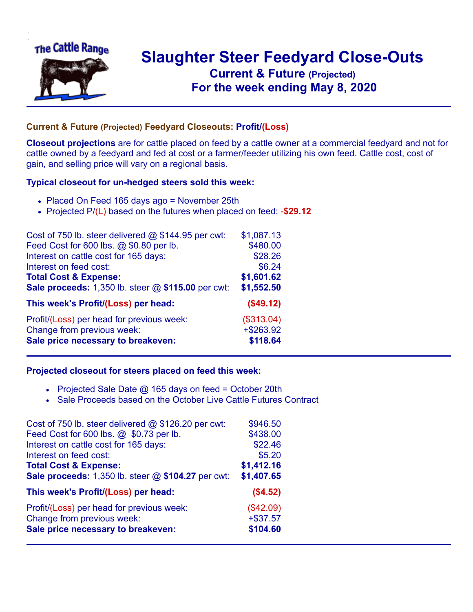

## **Slaughter Steer Feedyard Close-Outs Current & Future (Projected)** .**For the week ending May 8, 2020**

## **Current & Future (Projected) Feedyard Closeouts: Profit/(Loss)**

**Closeout projections** are for cattle placed on feed by a cattle owner at a commercial feedyard and not for cattle owned by a feedyard and fed at cost or a farmer/feeder utilizing his own feed. Cattle cost, cost of gain, and selling price will vary on a regional basis.

## **Typical closeout for un-hedged steers sold this week:**

- Placed On Feed 165 days ago = November 25th
- Projected P/(L) based on the futures when placed on feed: -**\$29.12**

| Cost of 750 lb. steer delivered @ \$144.95 per cwt: | \$1,087.13   |
|-----------------------------------------------------|--------------|
| Feed Cost for 600 lbs. @ \$0.80 per lb.             | \$480.00     |
| Interest on cattle cost for 165 days:               | \$28.26      |
| Interest on feed cost:                              | \$6.24       |
| <b>Total Cost &amp; Expense:</b>                    | \$1,601.62   |
| Sale proceeds: 1,350 lb. steer @ \$115.00 per cwt:  | \$1,552.50   |
| This week's Profit/(Loss) per head:                 | (\$49.12)    |
| Profit/(Loss) per head for previous week:           | (\$313.04)   |
| Change from previous week:                          | $+$ \$263.92 |
| Sale price necessary to breakeven:                  | \$118.64     |

## **Projected closeout for steers placed on feed this week:**

- Projected Sale Date  $@$  165 days on feed = October 20th
- Sale Proceeds based on the October Live Cattle Futures Contract

| Cost of 750 lb. steer delivered @ \$126.20 per cwt: | \$946.50   |
|-----------------------------------------------------|------------|
| Feed Cost for 600 lbs. @ \$0.73 per lb.             | \$438.00   |
| Interest on cattle cost for 165 days:               | \$22.46    |
| Interest on feed cost:                              | \$5.20     |
| <b>Total Cost &amp; Expense:</b>                    | \$1,412.16 |
| Sale proceeds: 1,350 lb. steer @ \$104.27 per cwt:  | \$1,407.65 |
| This week's Profit/(Loss) per head:                 | (\$4.52)   |
| Profit/(Loss) per head for previous week:           | (\$42.09)  |
| Change from previous week:                          | $+ $37.57$ |
| Sale price necessary to breakeven:                  | \$104.60   |